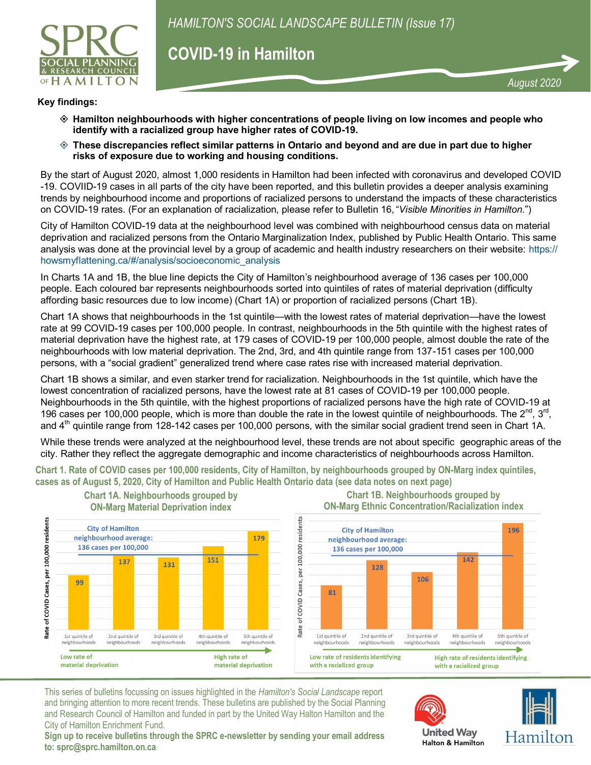

# **COVID-19 in Hamilton**

### **Key findings:**

- **Hamilton neighbourhoods with higher concentrations of people living on low incomes and people who identify with a racialized group have higher rates of COVID-19.**
- **These discrepancies reflect similar patterns in Ontario and beyond and are due in part due to higher risks of exposure due to working and housing conditions.**

By the start of August 2020, almost 1,000 residents in Hamilton had been infected with coronavirus and developed COVID -19. COVIID-19 cases in all parts of the city have been reported, and this bulletin provides a deeper analysis examining trends by neighbourhood income and proportions of racialized persons to understand the impacts of these characteristics on COVID-19 rates. (For an explanation of racialization, please refer to Bulletin 16, "*Visible Minorities in Hamilton*.")

City of Hamilton COVID-19 data at the neighbourhood level was combined with neighbourhood census data on material deprivation and racialized persons from the Ontario Marginalization Index, published by Public Health Ontario. This same analysis was done at the provincial level by a group of academic and health industry researchers on their website: [https://](https://howsmyflattening.ca/#/analysis/socioeconomic_analysis) [howsmyflattening.ca/#/analysis/socioeconomic\\_analysis](https://howsmyflattening.ca/#/analysis/socioeconomic_analysis)

In Charts 1A and 1B, the blue line depicts the City of Hamilton's neighbourhood average of 136 cases per 100,000 people. Each coloured bar represents neighbourhoods sorted into quintiles of rates of material deprivation (difficulty affording basic resources due to low income) (Chart 1A) or proportion of racialized persons (Chart 1B).

Chart 1A shows that neighbourhoods in the 1st quintile—with the lowest rates of material deprivation—have the lowest rate at 99 COVID-19 cases per 100,000 people. In contrast, neighbourhoods in the 5th quintile with the highest rates of material deprivation have the highest rate, at 179 cases of COVID-19 per 100,000 people, almost double the rate of the neighbourhoods with low material deprivation. The 2nd, 3rd, and 4th quintile range from 137-151 cases per 100,000 persons, with a "social gradient" generalized trend where case rates rise with increased material deprivation.

Chart 1B shows a similar, and even starker trend for racialization. Neighbourhoods in the 1st quintile, which have the lowest concentration of racialized persons, have the lowest rate at 81 cases of COVID-19 per 100,000 people. Neighbourhoods in the 5th quintile, with the highest proportions of racialized persons have the high rate of COVID-19 at 196 cases per 100,000 people, which is more than double the rate in the lowest quintile of neighbourhoods. The  $2^{nd}$ ,  $3^{rd}$ , and  $4<sup>th</sup>$  quintile range from 128-142 cases per 100,000 persons, with the similar social gradient trend seen in Chart 1A.

While these trends were analyzed at the neighbourhood level, these trends are not about specific geographic areas of the city. Rather they reflect the aggregate demographic and income characteristics of neighbourhoods across Hamilton.

**Chart 1. Rate of COVID cases per 100,000 residents, City of Hamilton, by neighbourhoods grouped by ON-Marg index quintiles, cases as of August 5, 2020, City of Hamilton and Public Health Ontario data (see data notes on next page) Chart 1A. Neighbourhoods grouped by Chart 1B. Neighbourhoods grouped by**



This series of bulletins focussing on issues highlighted in the *Hamilton's Social Landscape* report and bringing attention to more recent trends. These bulletins are published by the Social Planning and Research Council of Hamilton and funded in part by the United Way Halton Hamilton and the City of Hamilton Enrichment Fund.





*August 2020*

**Sign up to receive bulletins through the SPRC e-newsletter by sending your email address to: sprc@sprc.hamilton.on.ca**